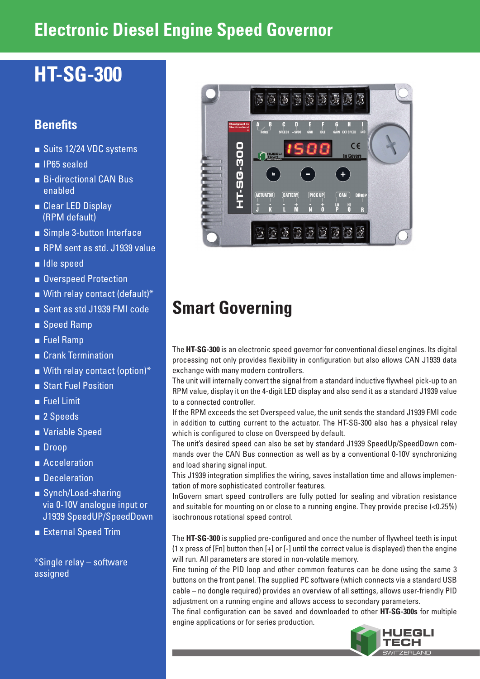## **Electronic Diesel Engine Speed Governor**

# **HT-SG-300**

## **Benefits**

- Suits 12/24 VDC systems
- IP65 sealed
- Bi-directional CAN Bus enabled
- Clear LED Display (RPM default)
- Simple 3-button Interface
- RPM sent as std. J1939 value
- Idle speed
- Overspeed Protection
- $\blacksquare$  With relay contact (default)\*
- Sent as std J1939 FMI code
- Speed Ramp
- Fuel Ramp
- Crank Termination
- $\blacksquare$  With relay contact (option)\*
- Start Fuel Position
- Fuel Limit
- 2 Speeds
- Variable Speed
- Droop
- Acceleration
- Deceleration
- Synch/Load-sharing via 0-10V analogue input or J1939 SpeedUP/SpeedDown
- External Speed Trim

\*Single relay – software assigned



# **Smart Governing**

The **HT-SG-300** is an electronic speed governor for conventional diesel engines. Its digital processing not only provides flexibility in configuration but also allows CAN J1939 data exchange with many modern controllers.

The unit will internally convert the signal from a standard inductive flywheel pick-up to an RPM value, display it on the 4-digit LED display and also send it as a standard J1939 value to a connected controller.

If the RPM exceeds the set Overspeed value, the unit sends the standard J1939 FMI code in addition to cutting current to the actuator. The HT-SG-300 also has a physical relay which is configured to close on Overspeed by default.

The unit's desired speed can also be set by standard J1939 SpeedUp/SpeedDown commands over the CAN Bus connection as well as by a conventional 0-10V synchronizing and load sharing signal input.

This J1939 integration simplifies the wiring, saves installation time and allows implementation of more sophisticated controller features.

InGovern smart speed controllers are fully potted for sealing and vibration resistance and suitable for mounting on or close to a running engine. They provide precise (<0.25%) isochronous rotational speed control.

The **HT-SG-300** is supplied pre-configured and once the number of flywheel teeth is input (1 x press of [Fn] button then [+] or [-] until the correct value is displayed) then the engine will run. All parameters are stored in non-volatile memory.

Fine tuning of the PID loop and other common features can be done using the same 3 buttons on the front panel. The supplied PC software (which connects via a standard USB cable – no dongle required) provides an overview of all settings, allows user-friendly PID adjustment on a running engine and allows access to secondary parameters.

The final configuration can be saved and downloaded to other **HT-SG-300s** for multiple engine applications or for series production.

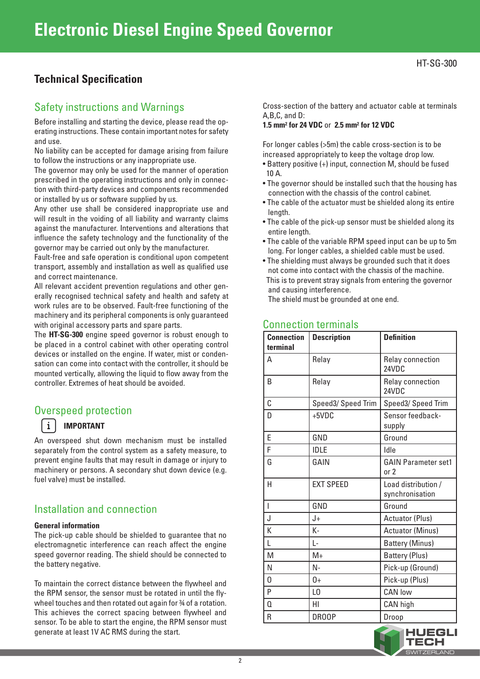## **Technical Specification**

### Safety instructions and Warnings

Before installing and starting the device, please read the operating instructions. These contain important notes for safety and use.

No liability can be accepted for damage arising from failure to follow the instructions or any inappropriate use.

The governor may only be used for the manner of operation prescribed in the operating instructions and only in connection with third-party devices and components recommended or installed by us or software supplied by us.

Any other use shall be considered inappropriate use and will result in the voiding of all liability and warranty claims against the manufacturer. Interventions and alterations that influence the safety technology and the functionality of the governor may be carried out only by the manufacturer.

Fault-free and safe operation is conditional upon competent transport, assembly and installation as well as qualified use and correct maintenance.

All relevant accident prevention regulations and other generally recognised technical safety and health and safety at work rules are to be observed. Fault-free functioning of the machinery and its peripheral components is only guaranteed with original accessory parts and spare parts.

The **HT-SG-300** engine speed governor is robust enough to be placed in a control cabinet with other operating control devices or installed on the engine. If water, mist or condensation can come into contact with the controller, it should be mounted vertically, allowing the liquid to flow away from the controller. Extremes of heat should be avoided.

### Overspeed protection

#### **IMPORTANT**

 $\mathbf{i}$ 

An overspeed shut down mechanism must be installed separately from the control system as a safety measure, to prevent engine faults that may result in damage or injury to machinery or persons. A secondary shut down device (e.g. fuel valve) must be installed.

## Installation and connection

#### **General information**

The pick-up cable should be shielded to guarantee that no electromagnetic interference can reach affect the engine speed governor reading. The shield should be connected to the battery negative.

To maintain the correct distance between the flywheel and the RPM sensor, the sensor must be rotated in until the flywheel touches and then rotated out again for  $%$  of a rotation. This achieves the correct spacing between flywheel and sensor. To be able to start the engine, the RPM sensor must generate at least 1V AC RMS during the start.

Cross-section of the battery and actuator cable at terminals A,B,C, and D:

#### **1.5 mm2 for 24 VDC** or **2.5 mm2 for 12 VDC**

For longer cables (>5m) the cable cross-section is to be increased appropriately to keep the voltage drop low.

- Battery positive (+) input, connection M, should be fused 10 A.
- The governor should be installed such that the housing has connection with the chassis of the control cabinet.
- The cable of the actuator must be shielded along its entire length.
- The cable of the pick-up sensor must be shielded along its entire length.
- The cable of the variable RPM speed input can be up to 5m long. For longer cables, a shielded cable must be used.
- The shielding must always be grounded such that it does not come into contact with the chassis of the machine. This is to prevent stray signals from entering the governor and causing interference.

The shield must be grounded at one end.

| <b>Connection</b><br>terminal | <b>Description</b> | <b>Definition</b>                      |
|-------------------------------|--------------------|----------------------------------------|
| A                             | Relay              | Relay connection<br>24VDC              |
| <sub>R</sub>                  | Relay              | <b>Relay connection</b><br>24VDC       |
| C                             | Speed3/ Speed Trim | Speed3/ Speed Trim                     |
| D                             | $+5VDC$            | Sensor feedback-<br>supply             |
| E                             | GND                | Ground                                 |
| F                             | <b>IDLE</b>        | <b>Idle</b>                            |
| G                             | GAIN               | <b>GAIN Parameter set1</b><br>or 2     |
| H                             | <b>EXT SPEED</b>   | Load distribution /<br>synchronisation |
| $\overline{1}$                | GND                | Ground                                 |
| J                             | J+                 | <b>Actuator (Plus)</b>                 |
| K                             | K-                 | <b>Actuator (Minus)</b>                |
| L                             | L-                 | <b>Battery (Minus)</b>                 |
| M                             | $M+$               | <b>Battery (Plus)</b>                  |
| N                             | $N -$              | Pick-up (Ground)                       |
| 0                             | $0+$               | Pick-up (Plus)                         |
| P                             | L <sub>0</sub>     | <b>CAN low</b>                         |
| $\overline{0}$                | HI                 | CAN high                               |
| R                             | <b>DROOP</b>       | Droop                                  |

### Connection terminals

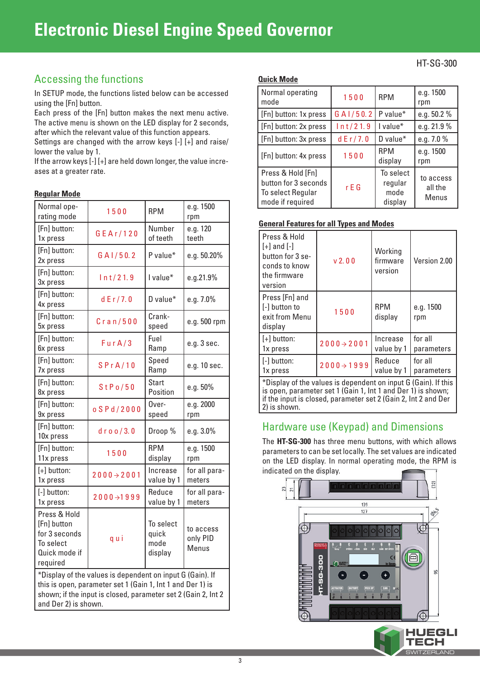## **Electronic Diesel Engine Speed Governor**

## Accessing the functions

In SETUP mode, the functions listed below can be accessed using the [Fn] button.

Each press of the [Fn] button makes the next menu active. The active menu is shown on the LED display for 2 seconds, after which the relevant value of this function appears.

Settings are changed with the arrow keys [-] [+] and raise/ lower the value by 1.

If the arrow keys [-] [+] are held down longer, the value increases at a greater rate.

#### **Regular Mode**

| Normal ope-<br>rating mode                                                                                                                                                                                       | 1500                    | <b>RPM</b>                            | e.g. 1500<br>rpm               |
|------------------------------------------------------------------------------------------------------------------------------------------------------------------------------------------------------------------|-------------------------|---------------------------------------|--------------------------------|
| [Fn] button:<br>1x press                                                                                                                                                                                         | GEAr/120                | Number<br>of teeth                    | e.g. 120<br>teeth              |
| [Fn] button:<br>2x press                                                                                                                                                                                         | G A1/50.2               | P value*                              | e.g. 50.20%                    |
| [Fn] button:<br>3x press                                                                                                                                                                                         | ln t/21.9               | I value*                              | e.g.21.9%                      |
| [Fn] button:<br>4x press                                                                                                                                                                                         | dE r / 7.0              | D value*                              | e.g. 7.0%                      |
| [Fn] button:<br>5x press                                                                                                                                                                                         | Cran/500                | Crank-<br>speed                       | e.g. 500 rpm                   |
| [Fn] button:<br>6x press                                                                                                                                                                                         | FurA/3                  | Fuel<br>Ramp                          | e.g. 3 sec.                    |
| [Fn] button:<br>7x press                                                                                                                                                                                         | SPrA/10                 | Speed<br>Ramp                         | e.g. 10 sec.                   |
| [Fn] button:<br>8x press                                                                                                                                                                                         | StPo/50                 | <b>Start</b><br>Position              | e.g. 50%                       |
| [Fn] button:<br>9x press                                                                                                                                                                                         | $o$ SPd/2000            | Over-<br>speed                        | e.g. 2000<br>rpm               |
| [Fn] button:<br>10x press                                                                                                                                                                                        | $d$ roo/3.0             | Droop %                               | e.g. 3.0%                      |
| [Fn] button:<br>11x press                                                                                                                                                                                        | 1500                    | <b>RPM</b><br>display                 | e.g. 1500<br>rpm               |
| $[+]$ button:<br>1x press                                                                                                                                                                                        | $2000 \rightarrow 2001$ | Increase<br>value by 1                | for all para-<br>meters        |
| [-] button:<br>1x press                                                                                                                                                                                          | $2000 \rightarrow 1999$ | Reduce<br>value by 1                  | for all para-<br>meters        |
| Press & Hold<br>[Fn] button<br>for 3 seconds<br>To select<br>Quick mode if<br>required                                                                                                                           | qui                     | To select<br>quick<br>mode<br>display | to access<br>only PID<br>Menus |
| *Display of the values is dependent on input G (Gain). If<br>this is open, parameter set 1 (Gain 1, Int 1 and Der 1) is<br>shown; if the input is closed, parameter set 2 (Gain 2, Int 2<br>and Der 2) is shown. |                         |                                       |                                |

#### **Quick Mode**

| Normal operating<br>mode                                                           | 1500       | <b>RPM</b>                              | e.g. 1500<br>rpm              |
|------------------------------------------------------------------------------------|------------|-----------------------------------------|-------------------------------|
| [Fn] button: 1x press                                                              | G A1/50.2  | P value*                                | e.g. 50.2 %                   |
| [Fn] button: 2x press                                                              | ln t/21.9  | I value*                                | e.g. 21.9 %                   |
| [Fn] button: 3x press                                                              | dE r / 7.0 | D value $*$                             | e.g. 7.0 %                    |
| [Fn] button: 4x press                                                              | 1500       | <b>RPM</b><br>display                   | e.g. 1500<br>rpm              |
| Press & Hold [Fn]<br>button for 3 seconds<br>To select Regular<br>mode if required | r E G      | To select<br>regular<br>mode<br>display | to access<br>all the<br>Menus |

#### **General Features for all Types and Modes**

| Press & Hold<br>$[+]$ and $[-]$<br>button for 3 se-<br>conds to know<br>the firmware<br>version | v <sub>2</sub> 0 <sub>0</sub> | Working<br>firmware<br>version | Version 2.00          |
|-------------------------------------------------------------------------------------------------|-------------------------------|--------------------------------|-----------------------|
| Press [Fn] and<br>[-] button to<br>exit from Menu<br>display                                    | 1500                          | <b>RPM</b><br>display          | e.g. 1500<br>rpm      |
| $[+]$ button:<br>1x press                                                                       | $2000 \rightarrow 2001$       | Increase<br>value by 1         | for all<br>parameters |
| [-] button:<br>1x press                                                                         | $2000 \rightarrow 1999$       | Reduce<br>value by 1           | for all<br>parameters |
| *Display of the values is dependent on input G (Gain). If this                                  |                               |                                |                       |

is open, parameter set 1 (Gain 1, Int 1 and Der 1) is shown; if the input is closed, parameter set 2 (Gain 2, Int 2 and Der 2) is shown.

## Hardware use (Keypad) and Dimensions

The **HT-SG-300** has three menu buttons, with which allows parameters to can be set locally. The set values are indicated on the LED display. In normal operating mode, the RPM is indicated on the display.



**SWITZERLAND** 

HT-SG-300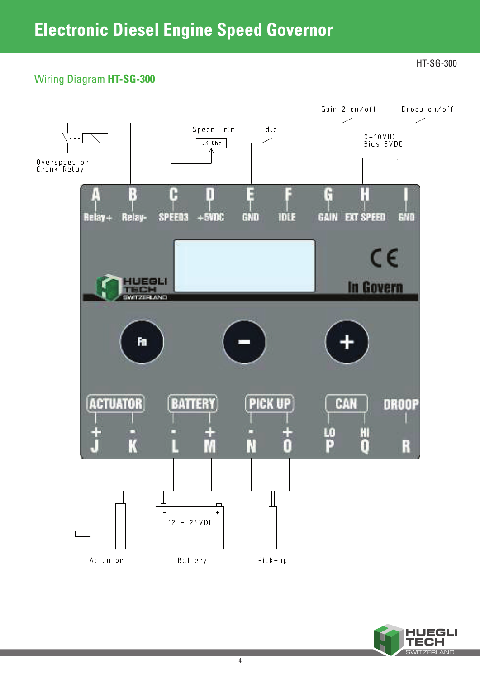## Wiring Diagram **HT-SG-300**

HT-SG-300